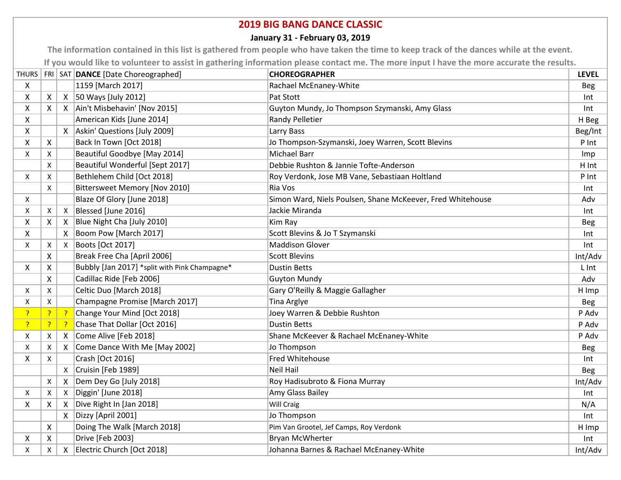## **2019 BIG BANG DANCE CLASSIC**

## **January 31 - February 03, 2019**

**The information contained in this list is gathered from people who have taken the time to keep track of the dances while at the event. If you would like to volunteer to assist in gathering information please contact me. The more input I have the more accurate the results.**

|    |                           |                           | THURS   FRI   SAT   DANCE [Date Choreographed] | <b>CHOREOGRAPHER</b>                                       | <b>LEVEL</b> |
|----|---------------------------|---------------------------|------------------------------------------------|------------------------------------------------------------|--------------|
| Χ  |                           |                           | 1159 [March 2017]                              | Rachael McEnaney-White                                     | <b>Beg</b>   |
| X  | X                         |                           | $X$ 50 Ways [July 2012]                        | Pat Stott                                                  | Int          |
| X  | $\boldsymbol{\mathsf{X}}$ |                           | X   Ain't Misbehavin' [Nov 2015]               | Guyton Mundy, Jo Thompson Szymanski, Amy Glass             | Int          |
| X  |                           |                           | American Kids [June 2014]                      | <b>Randy Pelletier</b>                                     | H Beg        |
| X  |                           | X                         | Askin' Questions [July 2009]                   | Larry Bass                                                 | Beg/Int      |
| X  | X                         |                           | Back In Town [Oct 2018]                        | Jo Thompson-Szymanski, Joey Warren, Scott Blevins          | P Int        |
| X  | Χ                         |                           | Beautiful Goodbye [May 2014]                   | <b>Michael Barr</b>                                        | Imp          |
|    | X                         |                           | Beautiful Wonderful [Sept 2017]                | Debbie Rushton & Jannie Tofte-Anderson                     | H Int        |
| X  | X                         |                           | Bethlehem Child [Oct 2018]                     | Roy Verdonk, Jose MB Vane, Sebastiaan Holtland             | P Int        |
|    | X                         |                           | Bittersweet Memory [Nov 2010]                  | Ria Vos                                                    | Int          |
| X  |                           |                           | Blaze Of Glory [June 2018]                     | Simon Ward, Niels Poulsen, Shane McKeever, Fred Whitehouse | Adv          |
| X  | Χ                         | Χ                         | Blessed [June 2016]                            | Jackie Miranda                                             | Int          |
| X  | X                         | X                         | Blue Night Cha [July 2010]                     | Kim Ray                                                    | <b>Beg</b>   |
| X  |                           | X                         | Boom Pow [March 2017]                          | Scott Blevins & Jo T Szymanski                             | Int          |
| X  | $\boldsymbol{\mathsf{X}}$ | X                         | Boots [Oct 2017]                               | <b>Maddison Glover</b>                                     | Int          |
|    | X                         |                           | Break Free Cha [April 2006]                    | <b>Scott Blevins</b>                                       | Int/Adv      |
| X. | X                         |                           | Bubbly [Jan 2017] *split with Pink Champagne*  | <b>Dustin Betts</b>                                        | L Int        |
|    | X                         |                           | Cadillac Ride [Feb 2006]                       | <b>Guyton Mundy</b>                                        | Adv          |
| Χ  | X                         |                           | Celtic Duo [March 2018]                        | Gary O'Reilly & Maggie Gallagher                           | H Imp        |
| Χ  | X                         |                           | Champagne Promise [March 2017]                 | Tina Arglye                                                | <b>Beg</b>   |
| ?  | $\overline{?}$            | - ?                       | Change Your Mind [Oct 2018]                    | Joey Warren & Debbie Rushton                               | P Adv        |
| 3. | 3                         | -?                        | Chase That Dollar [Oct 2016]                   | <b>Dustin Betts</b>                                        | P Adv        |
| Χ  | Χ                         | X                         | Come Alive [Feb 2018]                          | Shane McKeever & Rachael McEnaney-White                    | P Adv        |
| Χ  | Χ                         | X                         | Come Dance With Me [May 2002]                  | Jo Thompson                                                | <b>Beg</b>   |
| X  | X                         |                           | Crash [Oct 2016]                               | Fred Whitehouse                                            | Int          |
|    |                           | X                         | Cruisin [Feb 1989]                             | <b>Neil Hail</b>                                           | <b>Beg</b>   |
|    | $\mathsf{x}$              | X                         | Dem Dey Go [July 2018]                         | Roy Hadisubroto & Fiona Murray                             | Int/Adv      |
| X  | $\boldsymbol{\mathsf{X}}$ | $\boldsymbol{\mathsf{X}}$ | Diggin' [June 2018]                            | Amy Glass Bailey                                           | Int          |
| X  | X                         | Χ                         | Dive Right In [Jan 2018]                       | Will Craig                                                 | N/A          |
|    |                           | X                         | Dizzy [April 2001]                             | Jo Thompson                                                | Int          |
|    | $\boldsymbol{X}$          |                           | Doing The Walk [March 2018]                    | Pim Van Grootel, Jef Camps, Roy Verdonk                    | H Imp        |
| X  | X                         |                           | Drive [Feb 2003]                               | <b>Bryan McWherter</b>                                     | Int          |
| X  | X                         | $\boldsymbol{\mathsf{X}}$ | Electric Church [Oct 2018]                     | Johanna Barnes & Rachael McEnaney-White                    | Int/Adv      |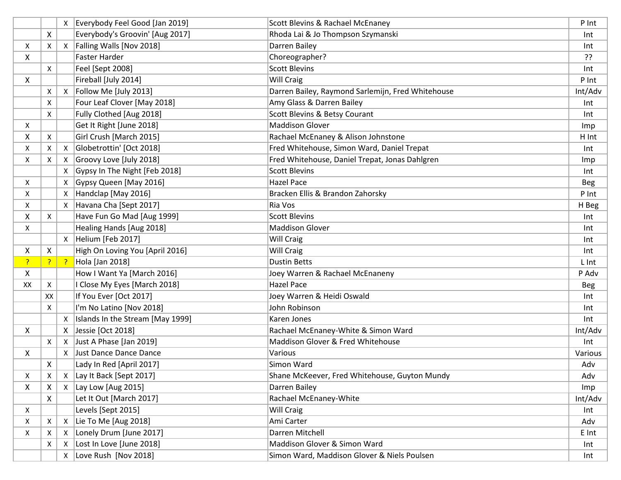|              |    |                 | Everybody Feel Good [Jan 2019]   | Scott Blevins & Rachael McEnaney                  | P Int      |
|--------------|----|-----------------|----------------------------------|---------------------------------------------------|------------|
|              | X  |                 | Everybody's Groovin' [Aug 2017]  | Rhoda Lai & Jo Thompson Szymanski                 | Int        |
| Χ            | Х  | X               | Falling Walls [Nov 2018]         | Darren Bailey                                     | Int        |
| X            |    |                 | <b>Faster Harder</b>             | Choreographer?                                    | ??         |
|              | X  |                 | Feel [Sept 2008]                 | <b>Scott Blevins</b>                              | Int        |
| X            |    |                 | Fireball [July 2014]             | <b>Will Craig</b>                                 | P Int      |
|              | Χ  | Χ               | Follow Me [July 2013]            | Darren Bailey, Raymond Sarlemijn, Fred Whitehouse | Int/Adv    |
|              | Х  |                 | Four Leaf Clover [May 2018]      | Amy Glass & Darren Bailey                         | Int        |
|              | X  |                 | Fully Clothed [Aug 2018]         | Scott Blevins & Betsy Courant                     | Int        |
| X            |    |                 | Get It Right [June 2018]         | <b>Maddison Glover</b>                            | Imp        |
| X            | Χ  |                 | Girl Crush [March 2015]          | Rachael McEnaney & Alison Johnstone               | H Int      |
| X            | Χ  | $\mathsf{X}$    | Globetrottin' [Oct 2018]         | Fred Whitehouse, Simon Ward, Daniel Trepat        | Int        |
| X            | Χ  | Х               | Groovy Love [July 2018]          | Fred Whitehouse, Daniel Trepat, Jonas Dahlgren    | Imp        |
|              |    | Χ               | Gypsy In The Night [Feb 2018]    | <b>Scott Blevins</b>                              | Int        |
| X            |    | Х               | Gypsy Queen [May 2016]           | <b>Hazel Pace</b>                                 | <b>Beg</b> |
| X            |    |                 | Handclap [May 2016]              | Bracken Ellis & Brandon Zahorsky                  | P Int      |
| X            |    | X               | Havana Cha [Sept 2017]           | Ria Vos                                           | H Beg      |
| X            | X  |                 | Have Fun Go Mad [Aug 1999]       | <b>Scott Blevins</b>                              | Int        |
| $\times$     |    |                 | Healing Hands [Aug 2018]         | <b>Maddison Glover</b>                            | Int        |
|              |    | X               | Helium [Feb 2017]                | <b>Will Craig</b>                                 | Int        |
| X            | X  |                 | High On Loving You [April 2016]  | <b>Will Craig</b>                                 | Int        |
| $\mathbf{P}$ |    | $\frac{1}{2}$ ? | Hola [Jan 2018]                  | <b>Dustin Betts</b>                               | L Int      |
| $\mathsf{X}$ |    |                 | How I Want Ya [March 2016]       | Joey Warren & Rachael McEnaneny                   | P Adv      |
| XX           | Χ  |                 | I Close My Eyes [March 2018]     | <b>Hazel Pace</b>                                 | <b>Beg</b> |
|              | XX |                 | If You Ever [Oct 2017]           | Joey Warren & Heidi Oswald                        | Int        |
|              | Χ  |                 | I'm No Latino [Nov 2018]         | John Robinson                                     | Int        |
|              |    | X               | Islands In the Stream [May 1999] | Karen Jones                                       | Int        |
| X            |    | X               | Jessie [Oct 2018]                | Rachael McEnaney-White & Simon Ward               | Int/Adv    |
|              | X  | Χ               | Just A Phase [Jan 2019]          | Maddison Glover & Fred Whitehouse                 | Int        |
| X            |    | X               | Just Dance Dance Dance           | Various                                           | Various    |
|              | X  |                 | Lady In Red [April 2017]         | Simon Ward                                        | Adv        |
| X            | Х  |                 | Lay It Back [Sept 2017]          | Shane McKeever, Fred Whitehouse, Guyton Mundy     | Adv        |
| X            | X  |                 | $X$ Lay Low [Aug 2015]           | Darren Bailey                                     | Imp        |
|              | X  |                 | Let It Out [March 2017]          | Rachael McEnaney-White                            | Int/Adv    |
| X            |    |                 | Levels [Sept 2015]               | <b>Will Craig</b>                                 | Int        |
| X            | Χ  | $\mathsf{X}$    | Lie To Me [Aug 2018]             | Ami Carter                                        | Adv        |
| X            | Х  | X               | Lonely Drum [June 2017]          | Darren Mitchell                                   | E Int      |
|              | Х  | Χ               | Lost In Love [June 2018]         | Maddison Glover & Simon Ward                      | Int        |
|              |    |                 | $X$ Love Rush [Nov 2018]         | Simon Ward, Maddison Glover & Niels Poulsen       | Int        |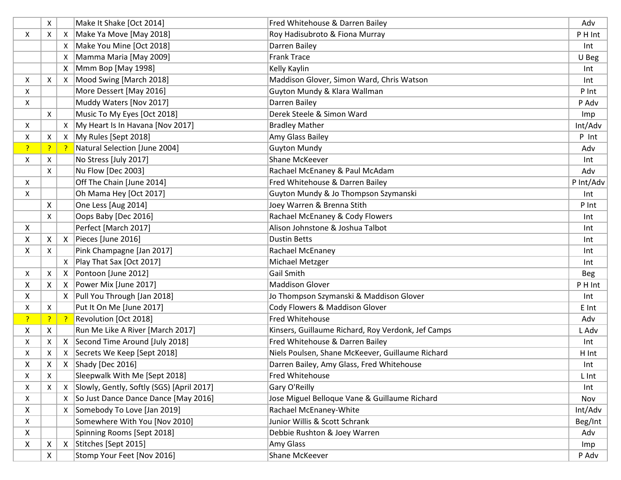|              | X  |              | Make It Shake [Oct 2014]                  | Fred Whitehouse & Darren Bailey                    | Adv        |
|--------------|----|--------------|-------------------------------------------|----------------------------------------------------|------------|
| X            | Χ  | Χ            | Make Ya Move [May 2018]                   | Roy Hadisubroto & Fiona Murray                     | P H Int    |
|              |    | X            | Make You Mine [Oct 2018]                  | Darren Bailey                                      | Int        |
|              |    | Х            | Mamma Maria [May 2009]                    | <b>Frank Trace</b>                                 | U Beg      |
|              |    | X            | Mmm Bop [May 1998]                        | Kelly Kaylin                                       | Int        |
| X            | X  | X            | Mood Swing [March 2018]                   | Maddison Glover, Simon Ward, Chris Watson          | Int        |
| X            |    |              | More Dessert [May 2016]                   | Guyton Mundy & Klara Wallman                       | P Int      |
| X            |    |              | Muddy Waters [Nov 2017]                   | Darren Bailey                                      | P Adv      |
|              | X  |              | Music To My Eyes [Oct 2018]               | Derek Steele & Simon Ward                          | Imp        |
| X            |    | Χ            | My Heart Is In Havana [Nov 2017]          | <b>Bradley Mather</b>                              | Int/Adv    |
| X            | Χ  |              | X   My Rules [Sept 2018]                  | Amy Glass Bailey                                   | P Int      |
| P,           | -? | -?           | Natural Selection [June 2004]             | <b>Guyton Mundy</b>                                | Adv        |
| X            | Χ  |              | No Stress [July 2017]                     | Shane McKeever                                     | Int        |
|              | X  |              | Nu Flow [Dec 2003]                        | Rachael McEnaney & Paul McAdam                     | Adv        |
| X            |    |              | Off The Chain [June 2014]                 | Fred Whitehouse & Darren Bailey                    | P Int/Adv  |
| X            |    |              | Oh Mama Hey [Oct 2017]                    | Guyton Mundy & Jo Thompson Szymanski               | Int        |
|              | X  |              | One Less [Aug 2014]                       | Joey Warren & Brenna Stith                         | P Int      |
|              | X  |              | Oops Baby [Dec 2016]                      | Rachael McEnaney & Cody Flowers                    | Int        |
| $\mathsf{X}$ |    |              | Perfect [March 2017]                      | Alison Johnstone & Joshua Talbot                   | Int        |
| X            | X  | X            | Pieces [June 2016]                        | <b>Dustin Betts</b>                                | Int        |
| X            | X  |              | Pink Champagne [Jan 2017]                 | Rachael McEnaney                                   | Int        |
|              |    | Χ            | Play That Sax [Oct 2017]                  | Michael Metzger                                    | Int        |
| X            | Χ  | X            | Pontoon [June 2012]                       | Gail Smith                                         | <b>Beg</b> |
| X            | X  | X            | Power Mix [June 2017]                     | <b>Maddison Glover</b>                             | P H Int    |
| X            |    | X            | Pull You Through [Jan 2018]               | Jo Thompson Szymanski & Maddison Glover            | Int        |
| X            | X  |              | Put It On Me [June 2017]                  | Cody Flowers & Maddison Glover                     | E Int      |
| 3.           | ?  | -?           | Revolution [Oct 2018]                     | Fred Whitehouse                                    | Adv        |
| X            | X  |              | Run Me Like A River [March 2017]          | Kinsers, Guillaume Richard, Roy Verdonk, Jef Camps | L Adv      |
| X            | Χ  | X            | Second Time Around [July 2018]            | Fred Whitehouse & Darren Bailey                    | Int        |
| X            | X  |              | X   Secrets We Keep [Sept 2018]           | Niels Poulsen, Shane McKeever, Guillaume Richard   | H Int      |
| X            | X  | X            | Shady [Dec 2016]                          | Darren Bailey, Amy Glass, Fred Whitehouse          | Int        |
| X            | X  |              | Sleepwalk With Me [Sept 2018]             | Fred Whitehouse                                    | L Int      |
| X            | Х  | Χ            | Slowly, Gently, Softly (SGS) [April 2017] | Gary O'Reilly                                      | Int        |
| X            |    | Χ            | So Just Dance Dance Dance [May 2016]      | Jose Miguel Belloque Vane & Guillaume Richard      | Nov        |
| X            |    | X            | Somebody To Love [Jan 2019]               | Rachael McEnaney-White                             | Int/Adv    |
| X            |    |              | Somewhere With You [Nov 2010]             | Junior Willis & Scott Schrank                      | Beg/Int    |
| X            |    |              | Spinning Rooms [Sept 2018]                | Debbie Rushton & Joey Warren                       | Adv        |
| X            | X  | $\mathsf{X}$ | Stitches [Sept 2015]                      | Amy Glass                                          | Imp        |
|              | X  |              | Stomp Your Feet [Nov 2016]                | Shane McKeever                                     | P Adv      |